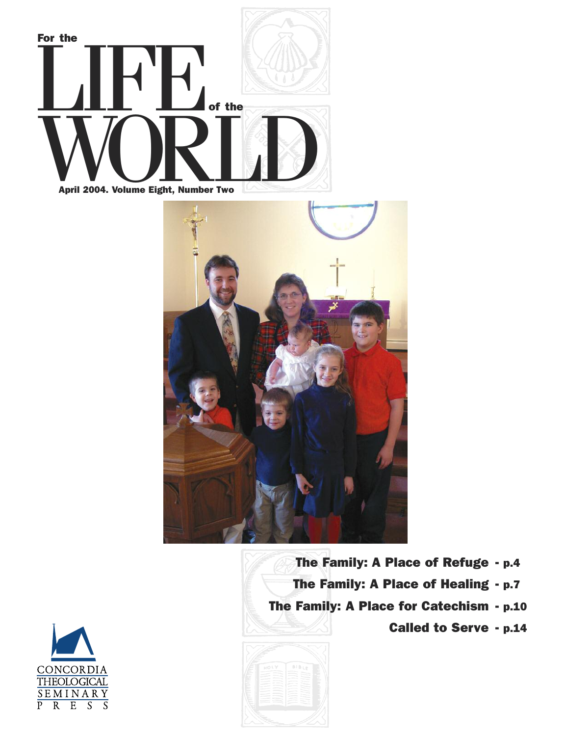



**The Family: A Place of Refuge - p.4 The Family: A Place of Healing - p.7 The Family: A Place for Catechism - p.10 Called to Serve - p.14**



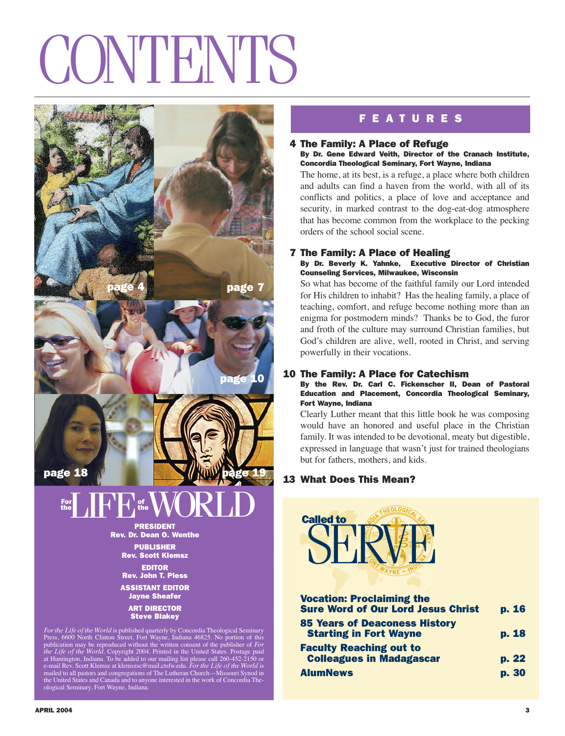# **CONTENTS**



For the Life of the World is published quarterly by Concordia Theological Seminary<br>Press, 6600 North Clinton Street, Fort Wayne, Indiana 46825. No portion of this<br>publication may be reproduced without the written consent o

# **F E A T U R E S**

#### **4 The Family: A Place of Refuge**

#### **By Dr. Gene Edward Veith, Director of the Cranach Institute, Concordia Theological Seminary, Fort Wayne, Indiana**

The home, at its best, is a refuge, a place where both children and adults can find a haven from the world, with all of its conflicts and politics, a place of love and acceptance and security, in marked contrast to the dog-eat-dog atmosphere that has become common from the workplace to the pecking orders of the school social scene.

## **7 The Family: A Place of Healing**

#### **By Dr. Beverly K. Yahnke, Executive Director of Christian Counseling Services, Milwaukee, Wisconsin**

So what has become of the faithful family our Lord intended for His children to inhabit? Has the healing family, a place of teaching, comfort, and refuge become nothing more than an enigma for postmodern minds? Thanks be to God, the furor and froth of the culture may surround Christian families, but God's children are alive, well, rooted in Christ, and serving powerfully in their vocations.

#### **10 The Family: A Place for Catechism**

#### **By the Rev. Dr. Carl C. Fickenscher II, Dean of Pastoral Education and Placement, Concordia Theological Seminary, Fort Wayne, Indiana**

Clearly Luther meant that this little book he was composing would have an honored and useful place in the Christian family. It was intended to be devotional, meaty but digestible, expressed in language that wasn't just for trained theologians but for fathers, mothers, and kids.

### **13 What Does This Mean?**



| <b>Vocation: Proclaiming the</b><br><b>Sure Word of Our Lord Jesus Christ</b> | p. 16 |
|-------------------------------------------------------------------------------|-------|
| <b>85 Years of Deaconess History</b><br><b>Starting in Fort Wayne</b>         | p. 18 |
| <b>Faculty Reaching out to</b><br><b>Colleagues in Madagascar</b>             | p. 22 |
| <b>AlumNews</b>                                                               | p. 30 |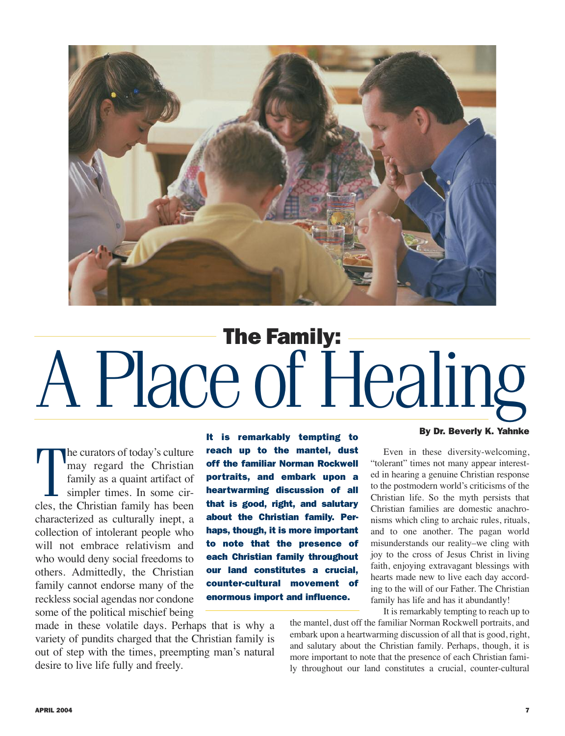

# **The Family:** APlaceof Healing

The curators of today's culture<br>
may regard the Christian<br>
family as a quaint artifact of<br>
simpler times. In some cir-<br>
cles, the Christian family has been he curators of today's culture may regard the Christian family as a quaint artifact of simpler times. In some circharacterized as culturally inept, a collection of intolerant people who will not embrace relativism and who would deny social freedoms to others. Admittedly, the Christian family cannot endorse many of the reckless social agendas nor condone some of the political mischief being

**It is remarkably tempting to reach up to the mantel, dust off the familiar Norman Rockwell portraits, and embark upon a heartwarming discussion of all that is good, right, and salutary about the Christian family. Perhaps, though, it is more important to note that the presence of each Christian family throughout our land constitutes a crucial, counter-cultural movement of enormous import and influence.**

made in these volatile days. Perhaps that is why a variety of pundits charged that the Christian family is out of step with the times, preempting man's natural desire to live life fully and freely.

#### **By Dr. Beverly K. Yahnke**

Even in these diversity-welcoming, "tolerant" times not many appear interested in hearing a genuine Christian response to the postmodern world's criticisms of the Christian life. So the myth persists that Christian families are domestic anachronisms which cling to archaic rules, rituals, and to one another. The pagan world misunderstands our reality–we cling with joy to the cross of Jesus Christ in living faith, enjoying extravagant blessings with hearts made new to live each day according to the will of our Father. The Christian family has life and has it abundantly!

It is remarkably tempting to reach up to

the mantel, dust off the familiar Norman Rockwell portraits, and embark upon a heartwarming discussion of all that is good, right, and salutary about the Christian family. Perhaps, though, it is more important to note that the presence of each Christian family throughout our land constitutes a crucial, counter-cultural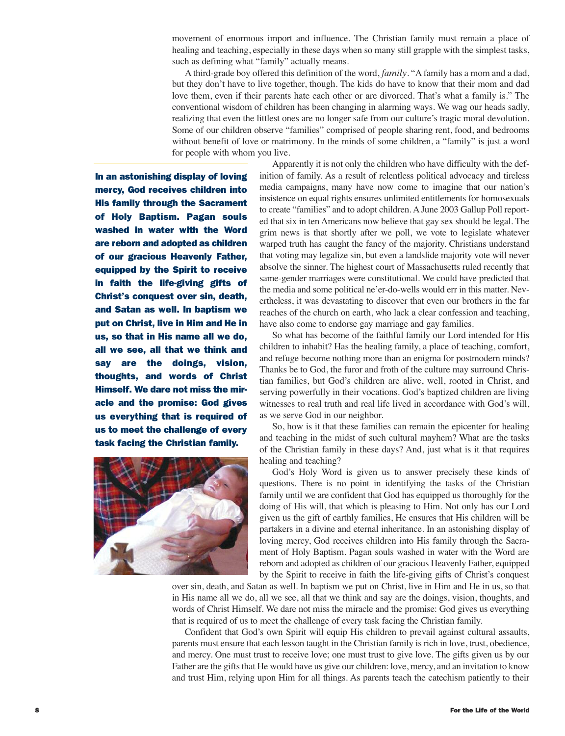movement of enormous import and influence. The Christian family must remain a place of healing and teaching, especially in these days when so many still grapple with the simplest tasks, such as defining what "family" actually means.

A third-grade boy offered this definition of the word, *family*. "A family has a mom and a dad, but they don't have to live together, though. The kids do have to know that their mom and dad love them, even if their parents hate each other or are divorced. That's what a family is." The conventional wisdom of children has been changing in alarming ways. We wag our heads sadly, realizing that even the littlest ones are no longer safe from our culture's tragic moral devolution. Some of our children observe "families" comprised of people sharing rent, food, and bedrooms without benefit of love or matrimony. In the minds of some children, a "family" is just a word for people with whom you live.

**In an astonishing display of loving mercy, God receives children into His family through the Sacrament of Holy Baptism. Pagan souls washed in water with the Word are reborn and adopted as children of our gracious Heavenly Father, equipped by the Spirit to receive in faith the life-giving gifts of Christ's conquest over sin, death, and Satan as well. In baptism we put on Christ, live in Him and He in us, so that in His name all we do, all we see, all that we think and say are the doings, vision, thoughts, and words of Christ Himself. We dare not miss the miracle and the promise: God gives us everything that is required of us to meet the challenge of every task facing the Christian family.**



Apparently it is not only the children who have difficulty with the definition of family. As a result of relentless political advocacy and tireless media campaigns, many have now come to imagine that our nation's insistence on equal rights ensures unlimited entitlements for homosexuals to create "families" and to adopt children. A June 2003 Gallup Poll reported that six in ten Americans now believe that gay sex should be legal. The grim news is that shortly after we poll, we vote to legislate whatever warped truth has caught the fancy of the majority. Christians understand that voting may legalize sin, but even a landslide majority vote will never absolve the sinner. The highest court of Massachusetts ruled recently that same-gender marriages were constitutional. We could have predicted that the media and some political ne'er-do-wells would err in this matter. Nevertheless, it was devastating to discover that even our brothers in the far reaches of the church on earth, who lack a clear confession and teaching, have also come to endorse gay marriage and gay families.

So what has become of the faithful family our Lord intended for His children to inhabit? Has the healing family, a place of teaching, comfort, and refuge become nothing more than an enigma for postmodern minds? Thanks be to God, the furor and froth of the culture may surround Christian families, but God's children are alive, well, rooted in Christ, and serving powerfully in their vocations. God's baptized children are living witnesses to real truth and real life lived in accordance with God's will, as we serve God in our neighbor.

So, how is it that these families can remain the epicenter for healing and teaching in the midst of such cultural mayhem? What are the tasks of the Christian family in these days? And, just what is it that requires healing and teaching?

God's Holy Word is given us to answer precisely these kinds of questions. There is no point in identifying the tasks of the Christian family until we are confident that God has equipped us thoroughly for the doing of His will, that which is pleasing to Him. Not only has our Lord given us the gift of earthly families, He ensures that His children will be partakers in a divine and eternal inheritance. In an astonishing display of loving mercy, God receives children into His family through the Sacrament of Holy Baptism. Pagan souls washed in water with the Word are reborn and adopted as children of our gracious Heavenly Father, equipped by the Spirit to receive in faith the life-giving gifts of Christ's conquest

over sin, death, and Satan as well. In baptism we put on Christ, live in Him and He in us, so that in His name all we do, all we see, all that we think and say are the doings, vision, thoughts, and words of Christ Himself. We dare not miss the miracle and the promise: God gives us everything that is required of us to meet the challenge of every task facing the Christian family.

Confident that God's own Spirit will equip His children to prevail against cultural assaults, parents must ensure that each lesson taught in the Christian family is rich in love, trust, obedience, and mercy. One must trust to receive love; one must trust to give love. The gifts given us by our Father are the gifts that He would have us give our children: love, mercy, and an invitation to know and trust Him, relying upon Him for all things. As parents teach the catechism patiently to their